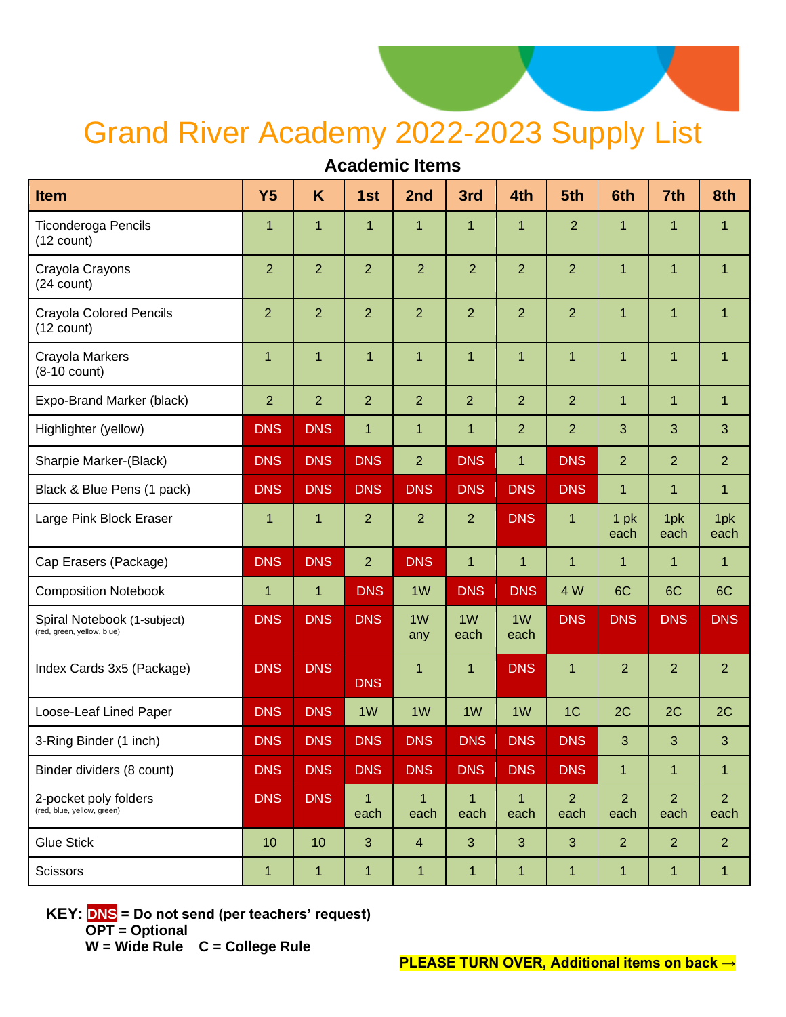## Grand River Academy 2022-2023 Supply List

## **Academic Items**

| Item                                                      | <b>Y5</b>      | K              | 1st                    | 2nd                  | 3rd                    | 4th                  | 5th                    | 6th                    | 7th                    | 8th                    |
|-----------------------------------------------------------|----------------|----------------|------------------------|----------------------|------------------------|----------------------|------------------------|------------------------|------------------------|------------------------|
| <b>Ticonderoga Pencils</b><br>$(12$ count)                | $\mathbf 1$    | 1              | $\mathbf 1$            | 1                    | 1                      | 1                    | $\overline{2}$         | $\mathbf 1$            | $\overline{1}$         | 1                      |
| Crayola Crayons<br>$(24$ count)                           | $\overline{2}$ | $\overline{2}$ | $\overline{2}$         | $\overline{2}$       | $\overline{2}$         | $\overline{2}$       | $\overline{2}$         | $\mathbf{1}$           | $\overline{1}$         | $\mathbf{1}$           |
| <b>Crayola Colored Pencils</b><br>$(12 \text{ count})$    | $\overline{2}$ | $\overline{2}$ | $\overline{2}$         | $\overline{2}$       | $\overline{2}$         | $\overline{2}$       | $\overline{2}$         | $\mathbf{1}$           | $\overline{1}$         | $\mathbf{1}$           |
| Crayola Markers<br>$(8-10$ count)                         | $\mathbf 1$    | 1              | $\mathbf{1}$           | 1                    | $\mathbf{1}$           | 1                    | $\mathbf 1$            | 1                      | $\mathbf 1$            | $\mathbf 1$            |
| Expo-Brand Marker (black)                                 | $\overline{2}$ | $\overline{2}$ | $\overline{2}$         | $\overline{2}$       | $\overline{2}$         | $\overline{2}$       | $\overline{2}$         | $\mathbf{1}$           | $\overline{1}$         | $\mathbf{1}$           |
| Highlighter (yellow)                                      | <b>DNS</b>     | <b>DNS</b>     | $\mathbf{1}$           | 1                    | $\mathbf{1}$           | $\overline{2}$       | $\overline{2}$         | 3                      | 3                      | 3                      |
| Sharpie Marker-(Black)                                    | <b>DNS</b>     | <b>DNS</b>     | <b>DNS</b>             | $\overline{2}$       | <b>DNS</b>             | $\mathbf{1}$         | <b>DNS</b>             | $\overline{2}$         | $\overline{2}$         | $\overline{2}$         |
| Black & Blue Pens (1 pack)                                | <b>DNS</b>     | <b>DNS</b>     | <b>DNS</b>             | <b>DNS</b>           | <b>DNS</b>             | <b>DNS</b>           | <b>DNS</b>             | $\mathbf{1}$           | $\overline{1}$         | $\mathbf{1}$           |
| Large Pink Block Eraser                                   | $\mathbf 1$    | 1              | $\overline{2}$         | $\overline{2}$       | $\overline{2}$         | <b>DNS</b>           | 1                      | 1pk<br>each            | 1pk<br>each            | 1pk<br>each            |
| Cap Erasers (Package)                                     | <b>DNS</b>     | <b>DNS</b>     | $\overline{2}$         | <b>DNS</b>           | $\overline{1}$         | $\mathbf{1}$         | $\mathbf{1}$           | $\mathbf{1}$           | $\overline{1}$         | $\mathbf{1}$           |
| <b>Composition Notebook</b>                               | $\mathbf{1}$   | $\mathbf 1$    | <b>DNS</b>             | 1 <sub>W</sub>       | <b>DNS</b>             | <b>DNS</b>           | 4 W                    | 6C                     | 6C                     | 6C                     |
| Spiral Notebook (1-subject)<br>(red, green, yellow, blue) | <b>DNS</b>     | <b>DNS</b>     | <b>DNS</b>             | 1W<br>any            | 1 <sub>W</sub><br>each | 1W<br>each           | <b>DNS</b>             | <b>DNS</b>             | <b>DNS</b>             | <b>DNS</b>             |
| Index Cards 3x5 (Package)                                 | <b>DNS</b>     | <b>DNS</b>     | <b>DNS</b>             | $\mathbf{1}$         | $\mathbf{1}$           | <b>DNS</b>           | $\mathbf{1}$           | $\overline{2}$         | $\overline{2}$         | $\overline{2}$         |
| Loose-Leaf Lined Paper                                    | <b>DNS</b>     | <b>DNS</b>     | 1W                     | 1 <sub>W</sub>       | 1W                     | 1W                   | 1 <sup>C</sup>         | 2C                     | 2C                     | 2C                     |
| 3-Ring Binder (1 inch)                                    | <b>DNS</b>     | <b>DNS</b>     | <b>DNS</b>             | <b>DNS</b>           | <b>DNS</b>             | <b>DNS</b>           | <b>DNS</b>             | 3                      | $\mathbf{3}$           | 3                      |
| Binder dividers (8 count)                                 | <b>DNS</b>     | <b>DNS</b>     | <b>DNS</b>             | <b>DNS</b>           | <b>DNS</b>             | <b>DNS</b>           | <b>DNS</b>             | $\mathbf{1}$           | $\mathbf{1}$           | $\mathbf{1}$           |
| 2-pocket poly folders<br>(red, blue, yellow, green)       | <b>DNS</b>     | <b>DNS</b>     | $\overline{1}$<br>each | $\mathbf{1}$<br>each | $\mathbf{1}$<br>each   | $\mathbf{1}$<br>each | $\overline{2}$<br>each | $\overline{2}$<br>each | $\overline{2}$<br>each | $\overline{2}$<br>each |
| <b>Glue Stick</b>                                         | 10             | 10             | 3                      | $\overline{4}$       | 3                      | 3                    | 3                      | $\overline{2}$         | $\overline{2}$         | $\overline{2}$         |
| <b>Scissors</b>                                           | $\mathbf{1}$   | 1              | $\mathbf{1}$           | $\mathbf{1}$         | 1                      | 1                    | $\mathbf{1}$           | $\mathbf{1}$           | $\mathbf{1}$           | $\mathbf{1}$           |

**KEY: DNS = Do not send (per teachers' request) OPT = Optional** 

 **W = Wide Rule C = College Rule**